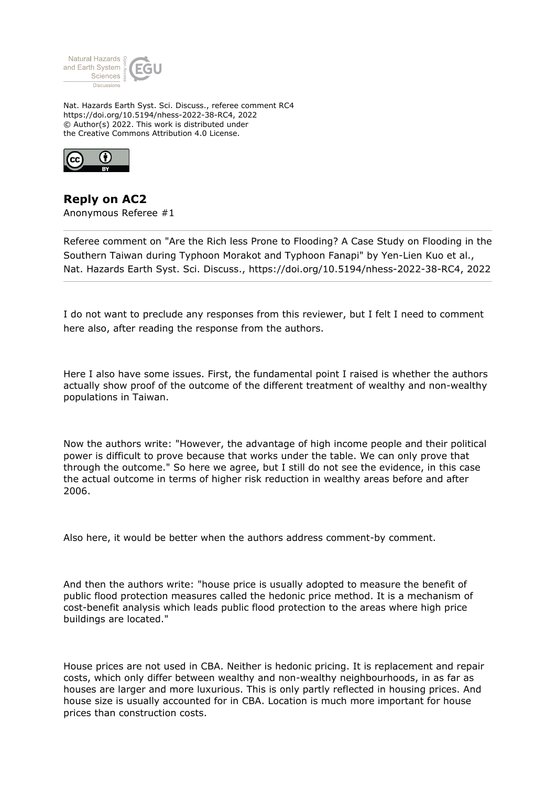

Nat. Hazards Earth Syst. Sci. Discuss., referee comment RC4 https://doi.org/10.5194/nhess-2022-38-RC4, 2022 © Author(s) 2022. This work is distributed under the Creative Commons Attribution 4.0 License.



**Reply on AC2** Anonymous Referee #1

Referee comment on "Are the Rich less Prone to Flooding? A Case Study on Flooding in the Southern Taiwan during Typhoon Morakot and Typhoon Fanapi" by Yen-Lien Kuo et al., Nat. Hazards Earth Syst. Sci. Discuss., https://doi.org/10.5194/nhess-2022-38-RC4, 2022

I do not want to preclude any responses from this reviewer, but I felt I need to comment here also, after reading the response from the authors.

Here I also have some issues. First, the fundamental point I raised is whether the authors actually show proof of the outcome of the different treatment of wealthy and non-wealthy populations in Taiwan.

Now the authors write: "However, the advantage of high income people and their political power is difficult to prove because that works under the table. We can only prove that through the outcome." So here we agree, but I still do not see the evidence, in this case the actual outcome in terms of higher risk reduction in wealthy areas before and after 2006.

Also here, it would be better when the authors address comment-by comment.

And then the authors write: "house price is usually adopted to measure the benefit of public flood protection measures called the hedonic price method. It is a mechanism of cost-benefit analysis which leads public flood protection to the areas where high price buildings are located."

House prices are not used in CBA. Neither is hedonic pricing. It is replacement and repair costs, which only differ between wealthy and non-wealthy neighbourhoods, in as far as houses are larger and more luxurious. This is only partly reflected in housing prices. And house size is usually accounted for in CBA. Location is much more important for house prices than construction costs.